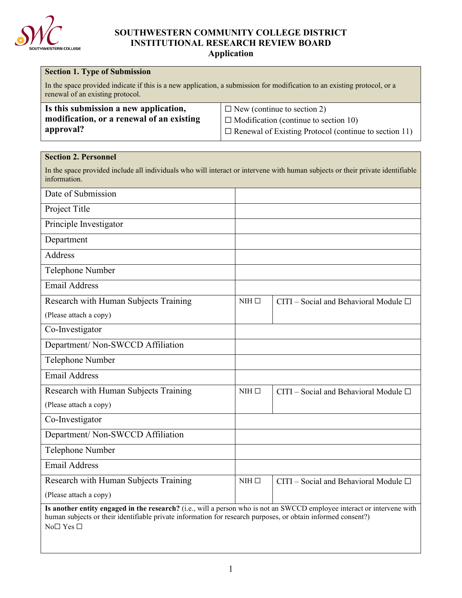

# **SOUTHWESTERN COMMUNITY COLLEGE DISTRICT INSTITUTIONAL RESEARCH REVIEW BOARD**

**Application**

| <b>Section 1. Type of Submission</b>                                                                                                                                                                                                    |                 |                                                                                                                                                    |
|-----------------------------------------------------------------------------------------------------------------------------------------------------------------------------------------------------------------------------------------|-----------------|----------------------------------------------------------------------------------------------------------------------------------------------------|
| In the space provided indicate if this is a new application, a submission for modification to an existing protocol, or a<br>renewal of an existing protocol.                                                                            |                 |                                                                                                                                                    |
| Is this submission a new application,<br>modification, or a renewal of an existing<br>approval?                                                                                                                                         |                 | $\Box$ New (continue to section 2)<br>$\Box$ Modification (continue to section 10)<br>$\Box$ Renewal of Existing Protocol (continue to section 11) |
| <b>Section 2. Personnel</b>                                                                                                                                                                                                             |                 |                                                                                                                                                    |
| In the space provided include all individuals who will interact or intervene with human subjects or their private identifiable<br>information.                                                                                          |                 |                                                                                                                                                    |
| Date of Submission                                                                                                                                                                                                                      |                 |                                                                                                                                                    |
| Project Title                                                                                                                                                                                                                           |                 |                                                                                                                                                    |
| Principle Investigator                                                                                                                                                                                                                  |                 |                                                                                                                                                    |
| Department                                                                                                                                                                                                                              |                 |                                                                                                                                                    |
| Address                                                                                                                                                                                                                                 |                 |                                                                                                                                                    |
| Telephone Number                                                                                                                                                                                                                        |                 |                                                                                                                                                    |
| <b>Email Address</b>                                                                                                                                                                                                                    |                 |                                                                                                                                                    |
| Research with Human Subjects Training                                                                                                                                                                                                   | $NHH$ $\square$ | CITI – Social and Behavioral Module $\Box$                                                                                                         |
| (Please attach a copy)                                                                                                                                                                                                                  |                 |                                                                                                                                                    |
| Co-Investigator                                                                                                                                                                                                                         |                 |                                                                                                                                                    |
| Department/ Non-SWCCD Affiliation                                                                                                                                                                                                       |                 |                                                                                                                                                    |
| Telephone Number                                                                                                                                                                                                                        |                 |                                                                                                                                                    |
| <b>Email Address</b>                                                                                                                                                                                                                    |                 |                                                                                                                                                    |
| Research with Human Subjects Training                                                                                                                                                                                                   | $NHH$ $\Box$    | CITI – Social and Behavioral Module $\square$                                                                                                      |
| (Please attach a copy)                                                                                                                                                                                                                  |                 |                                                                                                                                                    |
| Co-Investigator                                                                                                                                                                                                                         |                 |                                                                                                                                                    |
| Department/Non-SWCCD Affiliation                                                                                                                                                                                                        |                 |                                                                                                                                                    |
| Telephone Number                                                                                                                                                                                                                        |                 |                                                                                                                                                    |
| <b>Email Address</b>                                                                                                                                                                                                                    |                 |                                                                                                                                                    |
| Research with Human Subjects Training                                                                                                                                                                                                   | $NHH$ $\square$ | CITI – Social and Behavioral Module $\square$                                                                                                      |
| (Please attach a copy)                                                                                                                                                                                                                  |                 |                                                                                                                                                    |
| Is another entity engaged in the research? (i.e., will a person who is not an SWCCD employee interact or intervene with<br>human subjects or their identifiable private information for research purposes, or obtain informed consent?) |                 |                                                                                                                                                    |

No $\Box$  Yes  $\Box$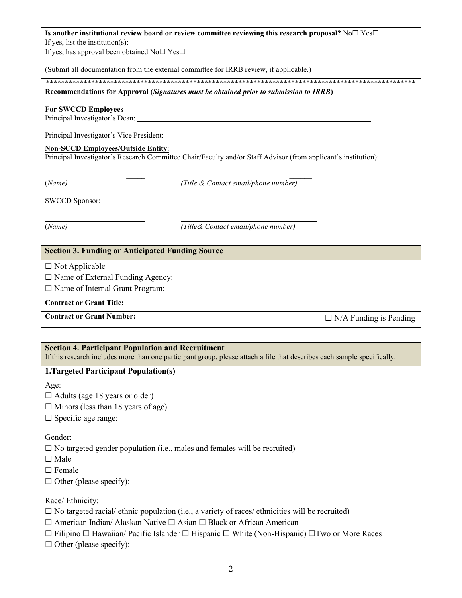| Is another institutional review board or review committee reviewing this research proposal? No $\Box$ Yes $\Box$                                                                                                                                                        |  |  |  |
|-------------------------------------------------------------------------------------------------------------------------------------------------------------------------------------------------------------------------------------------------------------------------|--|--|--|
| If yes, list the institution(s):                                                                                                                                                                                                                                        |  |  |  |
| If yes, has approval been obtained $No \Box Yes \Box$                                                                                                                                                                                                                   |  |  |  |
|                                                                                                                                                                                                                                                                         |  |  |  |
| (Submit all documentation from the external committee for IRRB review, if applicable.)                                                                                                                                                                                  |  |  |  |
|                                                                                                                                                                                                                                                                         |  |  |  |
| Recommendations for Approval (Signatures must be obtained prior to submission to IRRB)                                                                                                                                                                                  |  |  |  |
| <b>For SWCCD Employees</b><br>Principal Investigator's Dean:<br>Principal Investigator's Vice President:<br><b>Non-SCCD Employees/Outside Entity:</b><br>Principal Investigator's Research Committee Chair/Faculty and/or Staff Advisor (from applicant's institution): |  |  |  |
| (Name)<br>(Title & Contact email/phone number)<br><b>SWCCD Sponsor:</b>                                                                                                                                                                                                 |  |  |  |
|                                                                                                                                                                                                                                                                         |  |  |  |

(*Name) (Title& Contact email/phone number)*

## **Section 3. Funding or Anticipated Funding Source**

 $\square$  Not Applicable

☐ Name of External Funding Agency:

□ Name of Internal Grant Program:

**Contract or Grant Title:** 

Contract or Grant Number: <br> **□** N/A Funding is Pending

# **Section 4. Participant Population and Recruitment**

If this research includes more than one participant group, please attach a file that describes each sample specifically.

# **1.Targeted Participant Population(s)**

Age:

 $\Box$  Adults (age 18 years or older)

 $\Box$  Minors (less than 18 years of age)

□ Specific age range:

Gender:

 $\square$  No targeted gender population (i.e., males and females will be recruited)

☐ Male

☐ Female

 $\Box$  Other (please specify):

Race/ Ethnicity:

 $\Box$  No targeted racial/ ethnic population (i.e., a variety of races/ ethnicities will be recruited)

☐ American Indian/ Alaskan Native ☐ Asian ☐ Black or African American

☐ Filipino ☐ Hawaiian/ Pacific Islander ☐ Hispanic ☐ White (Non-Hispanic) ☐Two or More Races

 $\Box$  Other (please specify):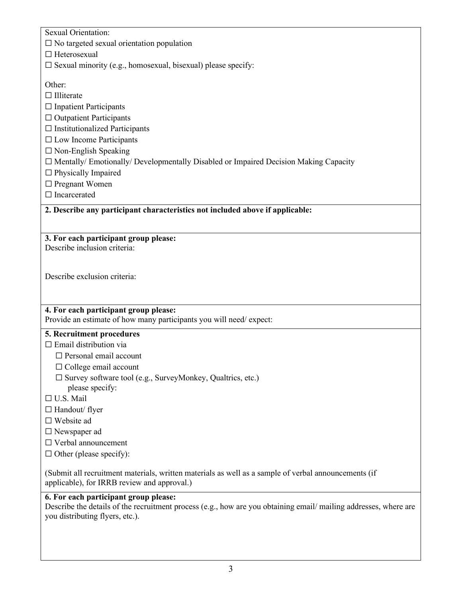Sexual Orientation:

 $\Box$  No targeted sexual orientation population

☐ Heterosexual

 $\square$  Sexual minority (e.g., homosexual, bisexual) please specify:

Other:

□ Illiterate

□ Inpatient Participants

☐ Outpatient Participants

 $\Box$  Institutionalized Participants

☐ Low Income Participants

 $\Box$  Non-English Speaking

☐ Mentally/ Emotionally/ Developmentally Disabled or Impaired Decision Making Capacity

☐ Physically Impaired

□ Pregnant Women

□ Incarcerated

**2. Describe any participant characteristics not included above if applicable:**

# **3. For each participant group please:**

Describe inclusion criteria:

Describe exclusion criteria:

# **4. For each participant group please:**

Provide an estimate of how many participants you will need/ expect:

# **5. Recruitment procedures**

 $\Box$  Email distribution via

□ Personal email account

☐ College email account

- $\Box$  Survey software tool (e.g., SurveyMonkey, Qualtrics, etc.)
	- please specify:
- ☐ U.S. Mail
- □ Handout/ flyer
- ☐ Website ad
- ☐ Newspaper ad
- ☐ Verbal announcement
- $\Box$  Other (please specify):

(Submit all recruitment materials, written materials as well as a sample of verbal announcements (if applicable), for IRRB review and approval.)

### **6. For each participant group please:**

Describe the details of the recruitment process (e.g., how are you obtaining email/ mailing addresses, where are you distributing flyers, etc.).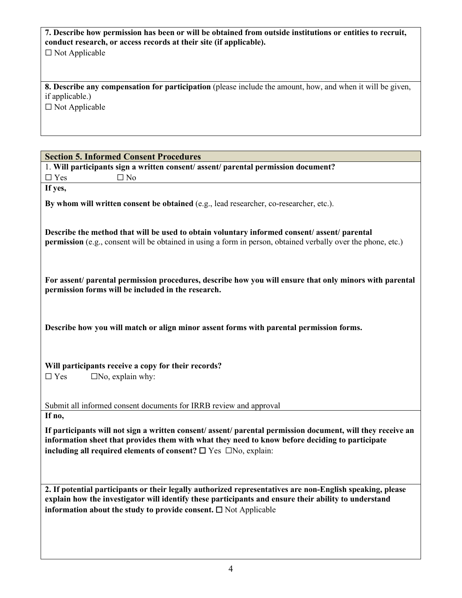| 7. Describe how permission has been or will be obtained from outside institutions or entities to recruit,<br>conduct research, or access records at their site (if applicable).  |
|----------------------------------------------------------------------------------------------------------------------------------------------------------------------------------|
| $\Box$ Not Applicable                                                                                                                                                            |
|                                                                                                                                                                                  |
|                                                                                                                                                                                  |
| 8. Describe any compensation for participation (please include the amount, how, and when it will be given,<br>if applicable.)                                                    |
| $\square$ Not Applicable                                                                                                                                                         |
|                                                                                                                                                                                  |
|                                                                                                                                                                                  |
|                                                                                                                                                                                  |
| <b>Section 5. Informed Consent Procedures</b><br>1. Will participants sign a written consent/ assent/ parental permission document?                                              |
| $\Box$ Yes<br>$\square$ No                                                                                                                                                       |
| If yes,                                                                                                                                                                          |
| By whom will written consent be obtained (e.g., lead researcher, co-researcher, etc.).                                                                                           |
|                                                                                                                                                                                  |
| Describe the method that will be used to obtain voluntary informed consent/assent/parental                                                                                       |
| permission (e.g., consent will be obtained in using a form in person, obtained verbally over the phone, etc.)                                                                    |
|                                                                                                                                                                                  |
|                                                                                                                                                                                  |
| For assent/ parental permission procedures, describe how you will ensure that only minors with parental                                                                          |
| permission forms will be included in the research.                                                                                                                               |
|                                                                                                                                                                                  |
|                                                                                                                                                                                  |
| Describe how you will match or align minor assent forms with parental permission forms.                                                                                          |
|                                                                                                                                                                                  |
|                                                                                                                                                                                  |
| Will participants receive a copy for their records?<br>$\square$ Yes<br>$\square$ No, explain why:                                                                               |
|                                                                                                                                                                                  |
|                                                                                                                                                                                  |
| Submit all informed consent documents for IRRB review and approval<br>If no,                                                                                                     |
| If participants will not sign a written consent/ assent/ parental permission document, will they receive an                                                                      |
| information sheet that provides them with what they need to know before deciding to participate                                                                                  |
| including all required elements of consent? $\Box$ Yes $\Box$ No, explain:                                                                                                       |
|                                                                                                                                                                                  |
|                                                                                                                                                                                  |
| 2. If potential participants or their legally authorized representatives are non-English speaking, please                                                                        |
| explain how the investigator will identify these participants and ensure their ability to understand<br>information about the study to provide consent. $\square$ Not Applicable |
|                                                                                                                                                                                  |
|                                                                                                                                                                                  |
|                                                                                                                                                                                  |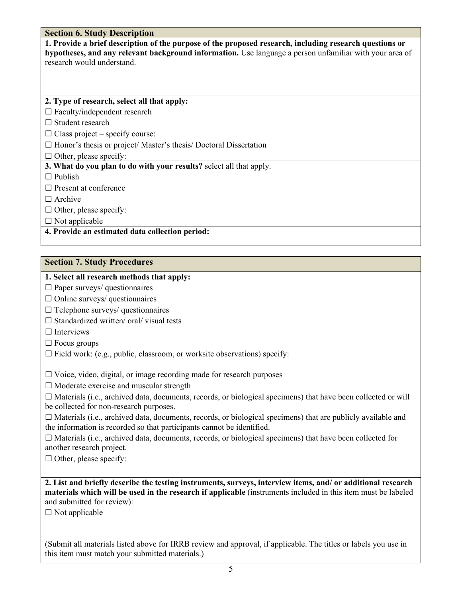### **Section 6. Study Description**

**1. Provide a brief description of the purpose of the proposed research, including research questions or hypotheses, and any relevant background information.** Use language a person unfamiliar with your area of research would understand.

#### **2. Type of research, select all that apply:**

☐ Faculty/independent research

□ Student research

 $\Box$  Class project – specify course:

□ Honor's thesis or project/ Master's thesis/ Doctoral Dissertation

 $\Box$  Other, please specify:

**3. What do you plan to do with your results?** select all that apply.

 $\Box$  Publish

□ Present at conference

□ Archive

 $\Box$  Other, please specify:

 $\square$  Not applicable

**4. Provide an estimated data collection period:** 

### **Section 7. Study Procedures**

### **1. Select all research methods that apply:**

 $\Box$  Paper surveys/ questionnaires

 $\Box$  Online surveys/ questionnaires

- $\Box$  Telephone surveys/ questionnaires
- $\Box$  Standardized written/ oral/ visual tests

□ Interviews

- $\Box$  Focus groups
- $\Box$  Field work: (e.g., public, classroom, or worksite observations) specify:

 $\Box$  Voice, video, digital, or image recording made for research purposes

 $\Box$  Moderate exercise and muscular strength

 $\Box$  Materials (i.e., archived data, documents, records, or biological specimens) that have been collected or will be collected for non-research purposes.

☐ Materials (i.e., archived data, documents, records, or biological specimens) that are publicly available and the information is recorded so that participants cannot be identified.

 $\Box$  Materials (i.e., archived data, documents, records, or biological specimens) that have been collected for another research project.

 $\Box$  Other, please specify:

**2. List and briefly describe the testing instruments, surveys, interview items, and/ or additional research materials which will be used in the research if applicable** (instruments included in this item must be labeled and submitted for review):

 $\square$  Not applicable

(Submit all materials listed above for IRRB review and approval, if applicable. The titles or labels you use in this item must match your submitted materials.)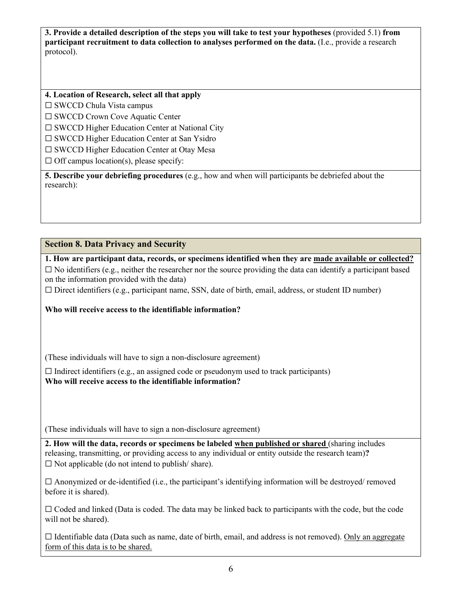**3. Provide a detailed description of the steps you will take to test your hypotheses** (provided 5.1) **from participant recruitment to data collection to analyses performed on the data.** (I.e., provide a research protocol).

**4. Location of Research, select all that apply**

☐ SWCCD Chula Vista campus

□ SWCCD Crown Cove Aquatic Center

☐ SWCCD Higher Education Center at National City

☐ SWCCD Higher Education Center at San Ysidro

☐ SWCCD Higher Education Center at Otay Mesa

 $\Box$  Off campus location(s), please specify:

**5. Describe your debriefing procedures** (e.g., how and when will participants be debriefed about the research):

**Section 8. Data Privacy and Security**

**1. How are participant data, records, or specimens identified when they are made available or collected?**

 $\Box$  No identifiers (e.g., neither the researcher nor the source providing the data can identify a participant based on the information provided with the data)

☐ Direct identifiers (e.g., participant name, SSN, date of birth, email, address, or student ID number)

**Who will receive access to the identifiable information?** 

(These individuals will have to sign a non-disclosure agreement)

 $\Box$  Indirect identifiers (e.g., an assigned code or pseudonym used to track participants) **Who will receive access to the identifiable information?** 

(These individuals will have to sign a non-disclosure agreement)

**2. How will the data, records or specimens be labeled when published or shared** (sharing includes releasing, transmitting, or providing access to any individual or entity outside the research team)**?**  $\Box$  Not applicable (do not intend to publish/share).

 $\Box$  Anonymized or de-identified (i.e., the participant's identifying information will be destroyed/ removed before it is shared).

 $\Box$  Coded and linked (Data is coded. The data may be linked back to participants with the code, but the code will not be shared).

 $\Box$  Identifiable data (Data such as name, date of birth, email, and address is not removed). Only an aggregate form of this data is to be shared.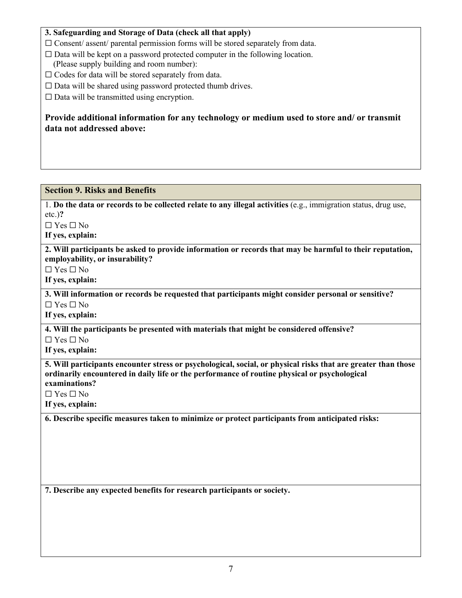## **3. Safeguarding and Storage of Data (check all that apply)**

- $\Box$  Consent/ assent/ parental permission forms will be stored separately from data.
- $\Box$  Data will be kept on a password protected computer in the following location.
- (Please supply building and room number):
- □ Codes for data will be stored separately from data.
- $\Box$  Data will be shared using password protected thumb drives.

 $\Box$  Data will be transmitted using encryption.

**Provide additional information for any technology or medium used to store and/ or transmit data not addressed above:** 

## **Section 9. Risks and Benefits**

1. **Do the data or records to be collected relate to any illegal activities** (e.g., immigration status, drug use, etc.)**?**

☐ Yes ☐ No

**If yes, explain:**

**2. Will participants be asked to provide information or records that may be harmful to their reputation, employability, or insurability?**

☐ Yes ☐ No

**If yes, explain:** 

**3. Will information or records be requested that participants might consider personal or sensitive?** ☐ Yes ☐ No

**If yes, explain:** 

**4. Will the participants be presented with materials that might be considered offensive?**

☐ Yes ☐ No

**If yes, explain:** 

**5. Will participants encounter stress or psychological, social, or physical risks that are greater than those ordinarily encountered in daily life or the performance of routine physical or psychological examinations?**

☐ Yes ☐ No

**If yes, explain:** 

**6. Describe specific measures taken to minimize or protect participants from anticipated risks:**

**7. Describe any expected benefits for research participants or society.**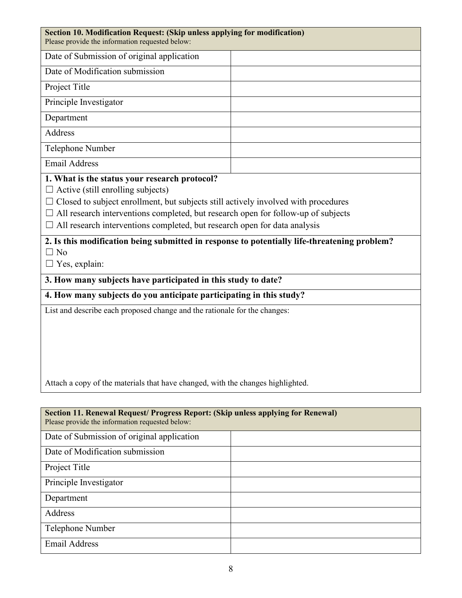| Section 10. Modification Request: (Skip unless applying for modification)<br>Please provide the information requested below:                                                                                                                                                                                                                                           |  |  |
|------------------------------------------------------------------------------------------------------------------------------------------------------------------------------------------------------------------------------------------------------------------------------------------------------------------------------------------------------------------------|--|--|
| Date of Submission of original application                                                                                                                                                                                                                                                                                                                             |  |  |
| Date of Modification submission                                                                                                                                                                                                                                                                                                                                        |  |  |
| Project Title                                                                                                                                                                                                                                                                                                                                                          |  |  |
| Principle Investigator                                                                                                                                                                                                                                                                                                                                                 |  |  |
| Department                                                                                                                                                                                                                                                                                                                                                             |  |  |
| Address                                                                                                                                                                                                                                                                                                                                                                |  |  |
| Telephone Number                                                                                                                                                                                                                                                                                                                                                       |  |  |
| <b>Email Address</b>                                                                                                                                                                                                                                                                                                                                                   |  |  |
| 1. What is the status your research protocol?<br>$\Box$ Active (still enrolling subjects)<br>$\Box$ Closed to subject enrollment, but subjects still actively involved with procedures<br>$\Box$ All research interventions completed, but research open for follow-up of subjects<br>$\Box$ All research interventions completed, but research open for data analysis |  |  |
| 2. Is this modification being submitted in response to potentially life-threatening problem?<br>$\Box$ No<br>$\Box$ Yes, explain:                                                                                                                                                                                                                                      |  |  |
| 3. How many subjects have participated in this study to date?                                                                                                                                                                                                                                                                                                          |  |  |
| 4. How many subjects do you anticipate participating in this study?                                                                                                                                                                                                                                                                                                    |  |  |
| List and describe each proposed change and the rationale for the changes:                                                                                                                                                                                                                                                                                              |  |  |
| Attach a copy of the materials that have changed, with the changes highlighted.                                                                                                                                                                                                                                                                                        |  |  |
|                                                                                                                                                                                                                                                                                                                                                                        |  |  |
| Section 11. Renewal Request/ Progress Report: (Skip unless applying for Renewal)<br>Please provide the information requested below:                                                                                                                                                                                                                                    |  |  |
| Date of Submission of original application                                                                                                                                                                                                                                                                                                                             |  |  |
|                                                                                                                                                                                                                                                                                                                                                                        |  |  |

Project Title

Department

Address

Principle Investigator

Telephone Number

Email Address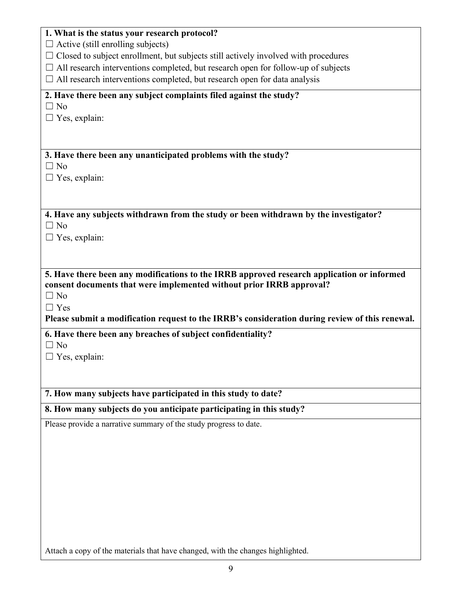| 1. What is the status your research protocol?                                                   |
|-------------------------------------------------------------------------------------------------|
| $\Box$ Active (still enrolling subjects)                                                        |
| $\Box$ Closed to subject enrollment, but subjects still actively involved with procedures       |
| $\Box$ All research interventions completed, but research open for follow-up of subjects        |
| $\Box$ All research interventions completed, but research open for data analysis                |
| 2. Have there been any subject complaints filed against the study?                              |
| $\Box$ No                                                                                       |
| $\Box$ Yes, explain:                                                                            |
|                                                                                                 |
|                                                                                                 |
| 3. Have there been any unanticipated problems with the study?<br>$\Box$ No                      |
| $\Box$ Yes, explain:                                                                            |
|                                                                                                 |
|                                                                                                 |
| 4. Have any subjects withdrawn from the study or been withdrawn by the investigator?            |
| $\Box$ No                                                                                       |
| $\Box$ Yes, explain:                                                                            |
|                                                                                                 |
|                                                                                                 |
| 5. Have there been any modifications to the IRRB approved research application or informed      |
| consent documents that were implemented without prior IRRB approval?                            |
| $\Box$ No                                                                                       |
| $\Box$ Yes                                                                                      |
| Please submit a modification request to the IRRB's consideration during review of this renewal. |
| 6. Have there been any breaches of subject confidentiality?                                     |
| $\Box$ No                                                                                       |
| $\Box$ Yes, explain:                                                                            |
|                                                                                                 |
| 7. How many subjects have participated in this study to date?                                   |
|                                                                                                 |
| 8. How many subjects do you anticipate participating in this study?                             |
| Please provide a narrative summary of the study progress to date.                               |
|                                                                                                 |
|                                                                                                 |
|                                                                                                 |
|                                                                                                 |
|                                                                                                 |
|                                                                                                 |
|                                                                                                 |
|                                                                                                 |
|                                                                                                 |

Attach a copy of the materials that have changed, with the changes highlighted.